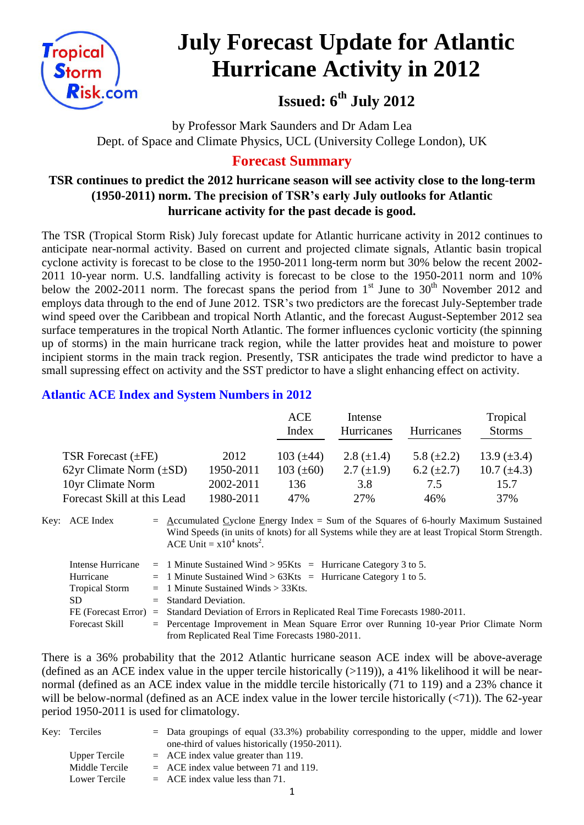

# **July Forecast Update for Atlantic Hurricane Activity in 2012**

**Issued: 6th July 2012**

by Professor Mark Saunders and Dr Adam Lea Dept. of Space and Climate Physics, UCL (University College London), UK

# **Forecast Summary**

# **TSR continues to predict the 2012 hurricane season will see activity close to the long-term (1950-2011) norm. The precision of TSR's early July outlooks for Atlantic hurricane activity for the past decade is good.**

The TSR (Tropical Storm Risk) July forecast update for Atlantic hurricane activity in 2012 continues to anticipate near-normal activity. Based on current and projected climate signals, Atlantic basin tropical cyclone activity is forecast to be close to the 1950-2011 long-term norm but 30% below the recent 2002- 2011 10-year norm. U.S. landfalling activity is forecast to be close to the 1950-2011 norm and 10% below the 2002-2011 norm. The forecast spans the period from  $1<sup>st</sup>$  June to  $30<sup>th</sup>$  November 2012 and employs data through to the end of June 2012. TSR's two predictors are the forecast July-September trade wind speed over the Caribbean and tropical North Atlantic, and the forecast August-September 2012 sea surface temperatures in the tropical North Atlantic. The former influences cyclonic vorticity (the spinning up of storms) in the main hurricane track region, while the latter provides heat and moisture to power incipient storms in the main track region. Presently, TSR anticipates the trade wind predictor to have a small supressing effect on activity and the SST predictor to have a slight enhancing effect on activity.

# **Atlantic ACE Index and System Numbers in 2012**

|                              |           | ACE<br>Index   | Intense<br>Hurricanes | <b>Hurricanes</b> | Tropical<br><b>Storms</b> |
|------------------------------|-----------|----------------|-----------------------|-------------------|---------------------------|
| TSR Forecast $(\pm FE)$      | 2012      | 103 $(\pm 44)$ | 2.8 $(\pm 1.4)$       | 5.8 $(\pm 2.2)$   | 13.9 $(\pm 3.4)$          |
| 62yr Climate Norm $(\pm SD)$ | 1950-2011 | 103 $(\pm 60)$ | $2.7 \ (\pm 1.9)$     | $6.2 \ (\pm 2.7)$ | 10.7 $(\pm 4.3)$          |
| 10yr Climate Norm            | 2002-2011 | 136            | 3.8                   | 7.5               | 15.7                      |
| Forecast Skill at this Lead  | 1980-2011 | 47%            | 27%                   | 46%               | 37%                       |

Key: ACE Index =  $\triangle$ ccumulated Cyclone Energy Index = Sum of the Squares of 6-hourly Maximum Sustained Wind Speeds (in units of knots) for all Systems while they are at least Tropical Storm Strength. ACE Unit =  $x10^4$  knots<sup>2</sup>.

| Intense Hurricane     | $=$ 1 Minute Sustained Wind > 95Kts $=$ Hurricane Category 3 to 5.                      |
|-----------------------|-----------------------------------------------------------------------------------------|
| Hurricane             | $=$ 1 Minute Sustained Wind > 63Kts = Hurricane Category 1 to 5.                        |
| <b>Tropical Storm</b> | $=$ 1 Minute Sustained Winds $>$ 33Kts.                                                 |
| SD.                   | $=$ Standard Deviation.                                                                 |
| FE (Forecast Error)   | $=$ Standard Deviation of Errors in Replicated Real Time Forecasts 1980-2011.           |
| <b>Forecast Skill</b> | $=$ Percentage Improvement in Mean Square Error over Running 10-year Prior Climate Norm |
|                       | from Replicated Real Time Forecasts 1980-2011.                                          |

There is a 36% probability that the 2012 Atlantic hurricane season ACE index will be above-average (defined as an ACE index value in the upper tercile historically  $(>119)$ ), a 41% likelihood it will be nearnormal (defined as an ACE index value in the middle tercile historically (71 to 119) and a 23% chance it will be below-normal (defined as an ACE index value in the lower tercile historically  $(\langle 71 \rangle)$ ). The 62-year period 1950-2011 is used for climatology.

| Key: Terciles  | $=$ Data groupings of equal (33.3%) probability corresponding to the upper, middle and lower |
|----------------|----------------------------------------------------------------------------------------------|
|                | one-third of values historically (1950-2011).                                                |
| Upper Tercile  | $=$ ACE index value greater than 119.                                                        |
| Middle Tercile | $=$ ACE index value between 71 and 119.                                                      |
| Lower Tercile  | $=$ ACE index value less than 71.                                                            |
|                |                                                                                              |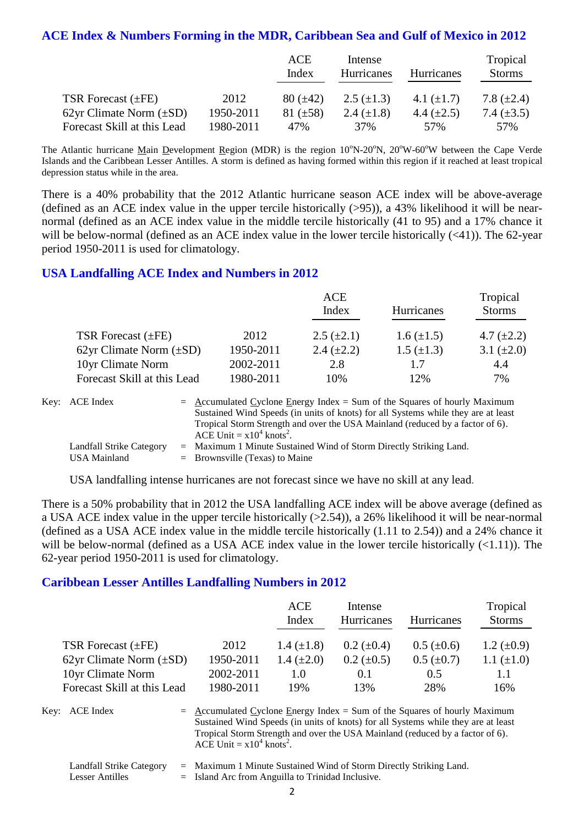# **ACE Index & Numbers Forming in the MDR, Caribbean Sea and Gulf of Mexico in 2012**

|                              |           | ACE<br>Index  | Intense<br>Hurricanes | <b>Hurricanes</b> | Tropical<br><b>Storms</b> |
|------------------------------|-----------|---------------|-----------------------|-------------------|---------------------------|
| TSR Forecast $(\pm FE)$      | 2012      | $80 (\pm 42)$ | $2.5 \ (\pm 1.3)$     | 4.1 $(\pm 1.7)$   | 7.8 $(\pm 2.4)$           |
| 62yr Climate Norm $(\pm SD)$ | 1950-2011 | 81 $(\pm 58)$ | 2.4 $(\pm 1.8)$       | 4.4 $(\pm 2.5)$   | 7.4 $(\pm 3.5)$           |
| Forecast Skill at this Lead  | 1980-2011 | 47%           | 37 <sub>%</sub>       | 57%               | 57%                       |

The Atlantic hurricane Main Development Region (MDR) is the region  $10^{\circ}N-20^{\circ}N$ ,  $20^{\circ}W-60^{\circ}W$  between the Cape Verde Islands and the Caribbean Lesser Antilles. A storm is defined as having formed within this region if it reached at least tropical depression status while in the area.

There is a 40% probability that the 2012 Atlantic hurricane season ACE index will be above-average (defined as an ACE index value in the upper tercile historically (>95)), a 43% likelihood it will be nearnormal (defined as an ACE index value in the middle tercile historically (41 to 95) and a 17% chance it will be below-normal (defined as an ACE index value in the lower tercile historically  $(\leq 41)$ ). The 62-year period 1950-2011 is used for climatology.

#### **USA Landfalling ACE Index and Numbers in 2012**

|                              |           | <b>ACE</b>        |                   | Tropical        |
|------------------------------|-----------|-------------------|-------------------|-----------------|
|                              |           | Index             | <b>Hurricanes</b> | <b>Storms</b>   |
| TSR Forecast $(\pm FE)$      | 2012      | $2.5 \ (\pm 2.1)$ | $1.6 (\pm 1.5)$   | 4.7 $(\pm 2.2)$ |
| 62yr Climate Norm $(\pm SD)$ | 1950-2011 | 2.4 $(\pm 2.2)$   | $1.5 \ (\pm 1.3)$ | 3.1 $(\pm 2.0)$ |
| 10yr Climate Norm            | 2002-2011 | 2.8               | 1.7               | 4.4             |
| Forecast Skill at this Lead  | 1980-2011 | 10%               | 12%               | 7%              |

| Key: ACE Index                           | $=$ Accumulated Cyclone Energy Index $=$ Sum of the Squares of hourly Maximum<br>Sustained Wind Speeds (in units of knots) for all Systems while they are at least<br>Tropical Storm Strength and over the USA Mainland (reduced by a factor of 6).<br>ACE Unit = $x10^4$ knots <sup>2</sup> . |
|------------------------------------------|------------------------------------------------------------------------------------------------------------------------------------------------------------------------------------------------------------------------------------------------------------------------------------------------|
| Landfall Strike Category<br>USA Mainland | $=$ Maximum 1 Minute Sustained Wind of Storm Directly Striking Land.<br>$=$ Brownsville (Texas) to Maine                                                                                                                                                                                       |

USA landfalling intense hurricanes are not forecast since we have no skill at any lead.

There is a 50% probability that in 2012 the USA landfalling ACE index will be above average (defined as a USA ACE index value in the upper tercile historically (>2.54)), a 26% likelihood it will be near-normal (defined as a USA ACE index value in the middle tercile historically (1.11 to 2.54)) and a 24% chance it will be below-normal (defined as a USA ACE index value in the lower tercile historically  $(\langle 1.11 \rangle)$ ). The 62-year period 1950-2011 is used for climatology.

## **Caribbean Lesser Antilles Landfalling Numbers in 2012**

|                              |           | ACE<br>Index    | Intense<br>Hurricanes | <b>Hurricanes</b> | Tropical<br><b>Storms</b> |
|------------------------------|-----------|-----------------|-----------------------|-------------------|---------------------------|
| TSR Forecast $(\pm FE)$      | 2012      | 1.4 $(\pm 1.8)$ | $0.2~(\pm 0.4)$       | $0.5 (\pm 0.6)$   | $1.2 \ (\pm 0.9)$         |
| 62yr Climate Norm $(\pm SD)$ | 1950-2011 | 1.4 $(\pm 2.0)$ | $0.2 \ (\pm 0.5)$     | $0.5 \ (\pm 0.7)$ | 1.1 $(\pm 1.0)$           |
| 10yr Climate Norm            | 2002-2011 | 1.0             | 0.1                   | 0.5               | 1.1                       |
| Forecast Skill at this Lead  | 1980-2011 | 19%             | 13%                   | 28%               | 16%                       |

Key:  $ACE Index = Accumulated Cyclone Energy Index = Sum of the Squares of hourly Maximum$ Sustained Wind Speeds (in units of knots) for all Systems while they are at least Tropical Storm Strength and over the USA Mainland (reduced by a factor of 6). ACE Unit =  $x10^4$  knots<sup>2</sup>.

| Landfall Strike Category | $=$ Maximum 1 Minute Sustained Wind of Storm Directly Striking Land. |
|--------------------------|----------------------------------------------------------------------|
| Lesser Antilles          | $=$ Island Arc from Anguilla to Trinidad Inclusive.                  |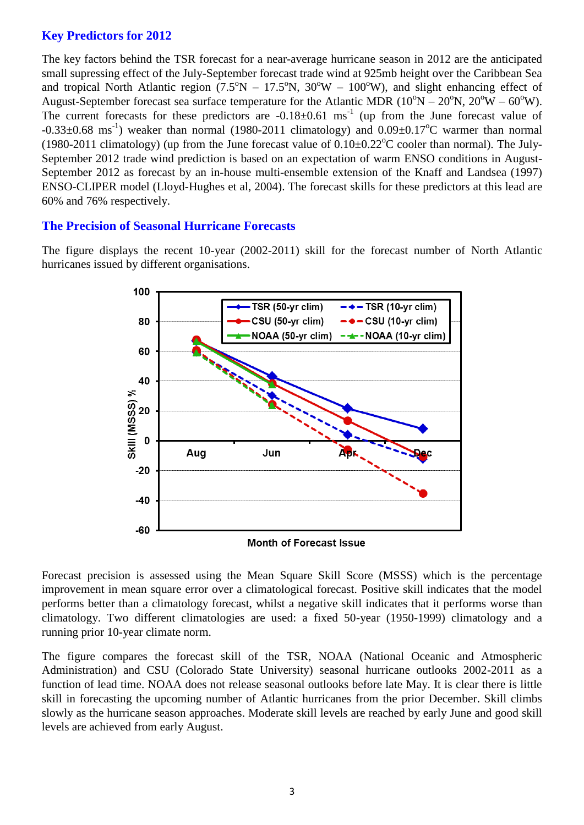## **Key Predictors for 2012**

The key factors behind the TSR forecast for a near-average hurricane season in 2012 are the anticipated small supressing effect of the July-September forecast trade wind at 925mb height over the Caribbean Sea and tropical North Atlantic region  $(7.5^{\circ}N - 17.5^{\circ}N, 30^{\circ}W - 100^{\circ}W)$ , and slight enhancing effect of August-September forecast sea surface temperature for the Atlantic MDR ( $10^{\circ}N - 20^{\circ}N$ ,  $20^{\circ}W - 60^{\circ}W$ ). The current forecasts for these predictors are  $-0.18 \pm 0.61$  ms<sup>-1</sup> (up from the June forecast value of  $-0.33\pm0.68$  ms<sup>-1</sup>) weaker than normal (1980-2011 climatology) and  $0.09\pm0.17^{\circ}$ C warmer than normal (1980-2011 climatology) (up from the June forecast value of  $0.10\pm0.22^{\circ}$ C cooler than normal). The July-September 2012 trade wind prediction is based on an expectation of warm ENSO conditions in August-September 2012 as forecast by an in-house multi-ensemble extension of the Knaff and Landsea (1997) ENSO-CLIPER model (Lloyd-Hughes et al, 2004). The forecast skills for these predictors at this lead are 60% and 76% respectively.

#### **The Precision of Seasonal Hurricane Forecasts**

The figure displays the recent 10-year (2002-2011) skill for the forecast number of North Atlantic hurricanes issued by different organisations.



Forecast precision is assessed using the Mean Square Skill Score (MSSS) which is the percentage improvement in mean square error over a climatological forecast. Positive skill indicates that the model performs better than a climatology forecast, whilst a negative skill indicates that it performs worse than climatology. Two different climatologies are used: a fixed 50-year (1950-1999) climatology and a running prior 10-year climate norm.

The figure compares the forecast skill of the TSR, NOAA (National Oceanic and Atmospheric Administration) and CSU (Colorado State University) seasonal hurricane outlooks 2002-2011 as a function of lead time. NOAA does not release seasonal outlooks before late May. It is clear there is little skill in forecasting the upcoming number of Atlantic hurricanes from the prior December. Skill climbs slowly as the hurricane season approaches. Moderate skill levels are reached by early June and good skill levels are achieved from early August.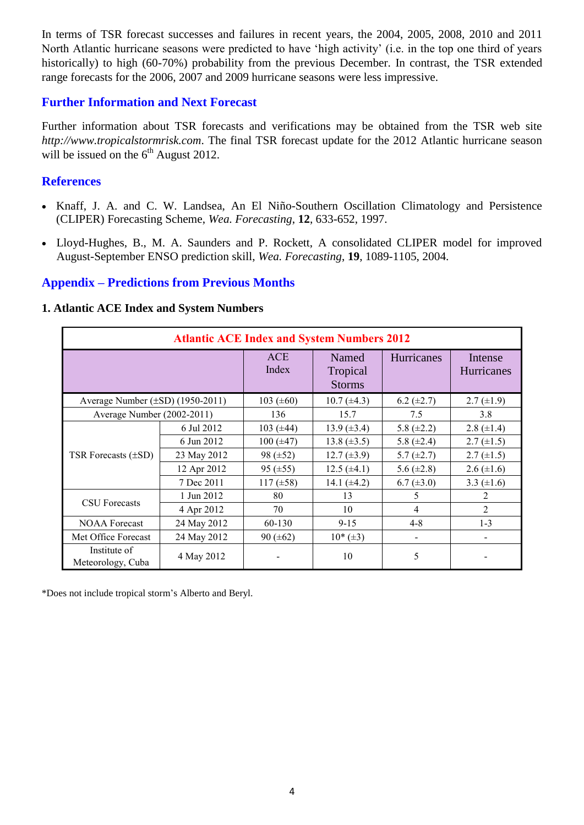In terms of TSR forecast successes and failures in recent years, the 2004, 2005, 2008, 2010 and 2011 North Atlantic hurricane seasons were predicted to have 'high activity' (i.e. in the top one third of years historically) to high (60-70%) probability from the previous December. In contrast, the TSR extended range forecasts for the 2006, 2007 and 2009 hurricane seasons were less impressive.

## **Further Information and Next Forecast**

Further information about TSR forecasts and verifications may be obtained from the TSR web site *http://www.tropicalstormrisk.com*. The final TSR forecast update for the 2012 Atlantic hurricane season will be issued on the  $6<sup>th</sup>$  August 2012.

# **References**

- Knaff, J. A. and C. W. Landsea, An El Niño-Southern Oscillation Climatology and Persistence (CLIPER) Forecasting Scheme, *Wea. Forecasting*, **12**, 633-652, 1997.
- [Lloyd-Hughes, B., M. A. Saunders and P. Rockett, A consolidated CLIPER model for improved](http://www.tropicalstormrisk.com/docs/Lloyd-Hughesetal2004.pdf)  [August-September ENSO prediction skill,](http://www.tropicalstormrisk.com/docs/Lloyd-Hughesetal2004.pdf) *Wea. Forecasting*, **19**, 1089-1105, 2004.

# **Appendix – Predictions from Previous Months**

#### **1. Atlantic ACE Index and System Numbers**

| <b>Atlantic ACE Index and System Numbers 2012</b> |             |                     |                                    |                 |                       |  |  |
|---------------------------------------------------|-------------|---------------------|------------------------------------|-----------------|-----------------------|--|--|
|                                                   |             | <b>ACE</b><br>Index | Named<br>Tropical<br><b>Storms</b> | Hurricanes      | Intense<br>Hurricanes |  |  |
| Average Number $(\pm SD)$ (1950-2011)             |             | 103 $(\pm 60)$      | $10.7 (\pm 4.3)$                   | 6.2 $(\pm 2.7)$ | $2.7 \ (\pm 1.9)$     |  |  |
| Average Number (2002-2011)                        |             | 136                 | 15.7                               | 7.5             | 3.8                   |  |  |
|                                                   | 6 Jul 2012  | 103 $(\pm 44)$      | $13.9 \ (\pm 3.4)$                 | 5.8 $(\pm 2.2)$ | 2.8 $(\pm 1.4)$       |  |  |
|                                                   | 6 Jun 2012  | $100 (\pm 47)$      | 13.8 $(\pm 3.5)$                   | 5.8 $(\pm 2.4)$ | $2.7 \ (\pm 1.5)$     |  |  |
| TSR Forecasts $(\pm SD)$                          | 23 May 2012 | 98 $(\pm 52)$       | $12.7 (\pm 3.9)$                   | $5.7 (\pm 2.7)$ | $2.7 \ (\pm 1.5)$     |  |  |
|                                                   | 12 Apr 2012 | 95 $(\pm 55)$       | $12.5 (\pm 4.1)$                   | 5.6 $(\pm 2.8)$ | $2.6 (\pm 1.6)$       |  |  |
|                                                   | 7 Dec 2011  | $117 (\pm 58)$      | 14.1 $(\pm 4.2)$                   | $6.7 (\pm 3.0)$ | 3.3 $(\pm 1.6)$       |  |  |
|                                                   | 1 Jun 2012  | 80                  | 13                                 | 5               | 2                     |  |  |
| <b>CSU</b> Forecasts                              | 4 Apr 2012  | 70                  | 10                                 | 4               | $\mathfrak{D}$        |  |  |
| <b>NOAA Forecast</b>                              | 24 May 2012 | 60-130              | $9 - 15$                           | $4 - 8$         | $1 - 3$               |  |  |
| Met Office Forecast                               | 24 May 2012 | $90 (\pm 62)$       | $10*(\pm 3)$                       | -               |                       |  |  |
| Institute of<br>Meteorology, Cuba                 | 4 May 2012  |                     | 10                                 | 5               |                       |  |  |

\*Does not include tropical storm's Alberto and Beryl.